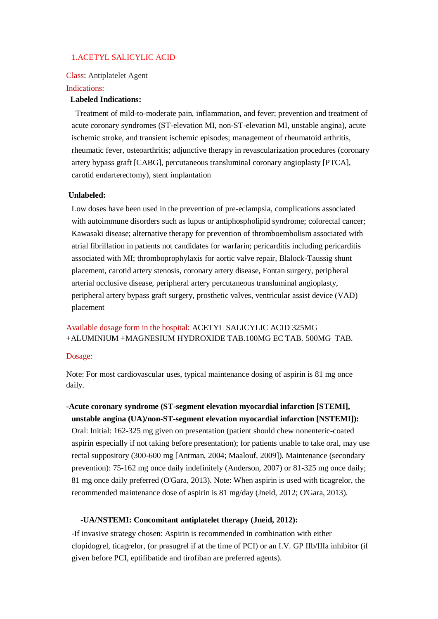### 1.ACETYL SALICYLIC ACID

Class: Antiplatelet Agent

#### Indications:

#### **Labeled Indications:**

 Treatment of mild-to-moderate pain, inflammation, and fever; prevention and treatment of acute coronary syndromes (ST-elevation MI, non-ST-elevation MI, unstable angina), acute ischemic stroke, and transient ischemic episodes; management of rheumatoid arthritis, rheumatic fever, osteoarthritis; adjunctive therapy in revascularization procedures (coronary artery bypass graft [CABG], percutaneous transluminal coronary angioplasty [PTCA], carotid endarterectomy), stent implantation

#### **Unlabeled:**

Low doses have been used in the prevention of pre-eclampsia, complications associated with autoimmune disorders such as lupus or antiphospholipid syndrome; colorectal cancer; Kawasaki disease; alternative therapy for prevention of thromboembolism associated with atrial fibrillation in patients not candidates for warfarin; pericarditis including pericarditis associated with MI; thromboprophylaxis for aortic valve repair, Blalock-Taussig shunt placement, carotid artery stenosis, coronary artery disease, Fontan surgery, peripheral arterial occlusive disease, peripheral artery percutaneous transluminal angioplasty, peripheral artery bypass graft surgery, prosthetic valves, ventricular assist device (VAD) placement

# Available dosage form in the hospital: ACETYL SALICYLIC ACID 325MG +ALUMINIUM +MAGNESIUM HYDROXIDE TAB.100MG EC TAB. 500MG TAB.

#### Dosage:

Note: For most cardiovascular uses, typical maintenance dosing of aspirin is 81 mg once daily.

# **-Acute coronary syndrome (ST-segment elevation myocardial infarction [STEMI], unstable angina (UA)/non-ST-segment elevation myocardial infarction [NSTEMI]):**

Oral: Initial: 162-325 mg given on presentation (patient should chew nonenteric-coated aspirin especially if not taking before presentation); for patients unable to take oral, may use rectal suppository (300-600 mg [Antman, 2004; Maalouf, 2009]). Maintenance (secondary prevention): 75-162 mg once daily indefinitely (Anderson, 2007) or 81-325 mg once daily; 81 mg once daily preferred (O'Gara, 2013). Note: When aspirin is used with ticagrelor, the recommended maintenance dose of aspirin is 81 mg/day (Jneid, 2012; O'Gara, 2013).

### **-UA/NSTEMI: Concomitant antiplatelet therapy (Jneid, 2012):**

-If invasive strategy chosen: Aspirin is recommended in combination with either clopidogrel, ticagrelor, (or prasugrel if at the time of PCI) or an I.V. GP IIb/IIIa inhibitor (if given before PCI, eptifibatide and tirofiban are preferred agents).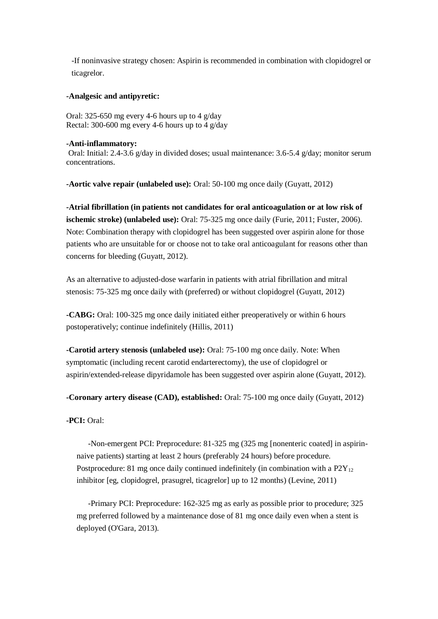-If noninvasive strategy chosen: Aspirin is recommended in combination with clopidogrel or ticagrelor.

### **-Analgesic and antipyretic:**

Oral: 325-650 mg every 4-6 hours up to 4  $g/day$ Rectal: 300-600 mg every 4-6 hours up to 4 g/day

#### **-Anti-inflammatory:**

Oral: Initial: 2.4-3.6 g/day in divided doses; usual maintenance: 3.6-5.4 g/day; monitor serum concentrations.

**-Aortic valve repair (unlabeled use):** Oral: 50-100 mg once daily (Guyatt, 2012)

**-Atrial fibrillation (in patients not candidates for oral anticoagulation or at low risk of ischemic stroke) (unlabeled use):** Oral: 75-325 mg once daily (Furie, 2011; Fuster, 2006). Note: Combination therapy with clopidogrel has been suggested over aspirin alone for those patients who are unsuitable for or choose not to take oral anticoagulant for reasons other than concerns for bleeding (Guyatt, 2012).

As an alternative to adjusted-dose warfarin in patients with atrial fibrillation and mitral stenosis: 75-325 mg once daily with (preferred) or without clopidogrel (Guyatt, 2012)

**-CABG:** Oral: 100-325 mg once daily initiated either preoperatively or within 6 hours postoperatively; continue indefinitely (Hillis, 2011)

**-Carotid artery stenosis (unlabeled use):** Oral: 75-100 mg once daily. Note: When symptomatic (including recent carotid endarterectomy), the use of clopidogrel or aspirin/extended-release dipyridamole has been suggested over aspirin alone (Guyatt, 2012).

**-Coronary artery disease (CAD), established:** Oral: 75-100 mg once daily (Guyatt, 2012)

**-PCI:** Oral:

 -Non-emergent PCI: Preprocedure: 81-325 mg (325 mg [nonenteric coated] in aspirinnaive patients) starting at least 2 hours (preferably 24 hours) before procedure. Postprocedure: 81 mg once daily continued indefinitely (in combination with a  $P2Y_{12}$ ) inhibitor [eg, clopidogrel, prasugrel, ticagrelor] up to 12 months) (Levine, 2011)

 -Primary PCI: Preprocedure: 162-325 mg as early as possible prior to procedure; 325 mg preferred followed by a maintenance dose of 81 mg once daily even when a stent is deployed (O'Gara, 2013).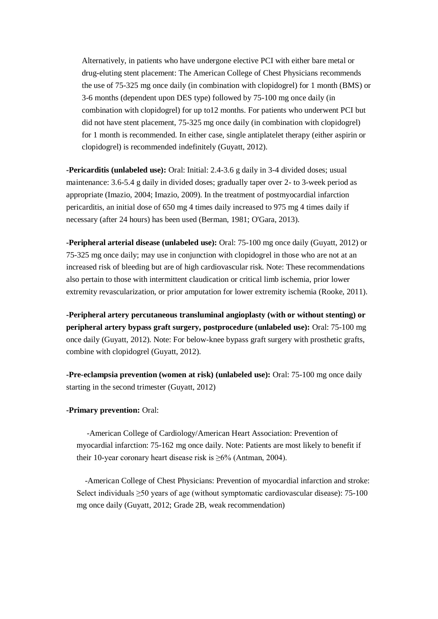Alternatively, in patients who have undergone elective PCI with either bare metal or drug-eluting stent placement: The American College of Chest Physicians recommends the use of 75-325 mg once daily (in combination with clopidogrel) for 1 month (BMS) or 3-6 months (dependent upon DES type) followed by 75-100 mg once daily (in combination with clopidogrel) for up to12 months. For patients who underwent PCI but did not have stent placement, 75-325 mg once daily (in combination with clopidogrel) for 1 month is recommended. In either case, single antiplatelet therapy (either aspirin or clopidogrel) is recommended indefinitely (Guyatt, 2012).

**-Pericarditis (unlabeled use):** Oral: Initial: 2.4-3.6 g daily in 3-4 divided doses; usual maintenance: 3.6-5.4 g daily in divided doses; gradually taper over 2- to 3-week period as appropriate (Imazio, 2004; Imazio, 2009). In the treatment of postmyocardial infarction pericarditis, an initial dose of 650 mg 4 times daily increased to 975 mg 4 times daily if necessary (after 24 hours) has been used (Berman, 1981; O'Gara, 2013).

**-Peripheral arterial disease (unlabeled use):** Oral: 75-100 mg once daily (Guyatt, 2012) or 75-325 mg once daily; may use in conjunction with clopidogrel in those who are not at an increased risk of bleeding but are of high cardiovascular risk. Note: These recommendations also pertain to those with intermittent claudication or critical limb ischemia, prior lower extremity revascularization, or prior amputation for lower extremity ischemia (Rooke, 2011).

**-Peripheral artery percutaneous transluminal angioplasty (with or without stenting) or peripheral artery bypass graft surgery, postprocedure (unlabeled use):** Oral: 75-100 mg once daily (Guyatt, 2012). Note: For below-knee bypass graft surgery with prosthetic grafts, combine with clopidogrel (Guyatt, 2012).

**-Pre-eclampsia prevention (women at risk) (unlabeled use):** Oral: 75-100 mg once daily starting in the second trimester (Guyatt, 2012)

#### **-Primary prevention:** Oral:

 -American College of Cardiology/American Heart Association: Prevention of myocardial infarction: 75-162 mg once daily. Note: Patients are most likely to benefit if their 10-year coronary heart disease risk is  $\geq 6\%$  (Antman, 2004).

 -American College of Chest Physicians: Prevention of myocardial infarction and stroke: Select individuals  $\geq 50$  years of age (without symptomatic cardiovascular disease): 75-100 mg once daily (Guyatt, 2012; Grade 2B, weak recommendation)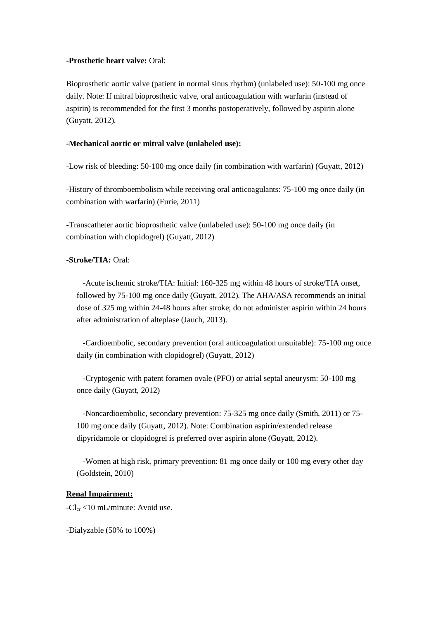### **-Prosthetic heart valve:** Oral:

Bioprosthetic aortic valve (patient in normal sinus rhythm) (unlabeled use): 50-100 mg once daily. Note: If mitral bioprosthetic valve, oral anticoagulation with warfarin (instead of aspirin) is recommended for the first 3 months postoperatively, followed by aspirin alone (Guyatt, 2012).

### **-Mechanical aortic or mitral valve (unlabeled use):**

-Low risk of bleeding: 50-100 mg once daily (in combination with warfarin) (Guyatt, 2012)

-History of thromboembolism while receiving oral anticoagulants: 75-100 mg once daily (in combination with warfarin) (Furie, 2011)

-Transcatheter aortic bioprosthetic valve (unlabeled use): 50-100 mg once daily (in combination with clopidogrel) (Guyatt, 2012)

### **-Stroke/TIA:** Oral:

 -Acute ischemic stroke/TIA: Initial: 160-325 mg within 48 hours of stroke/TIA onset, followed by 75-100 mg once daily (Guyatt, 2012). The AHA/ASA recommends an initial dose of 325 mg within 24-48 hours after stroke; do not administer aspirin within 24 hours after administration of alteplase (Jauch, 2013).

 -Cardioembolic, secondary prevention (oral anticoagulation unsuitable): 75-100 mg once daily (in combination with clopidogrel) (Guyatt, 2012)

 -Cryptogenic with patent foramen ovale (PFO) or atrial septal aneurysm: 50-100 mg once daily (Guyatt, 2012)

 -Noncardioembolic, secondary prevention: 75-325 mg once daily (Smith, 2011) or 75- 100 mg once daily (Guyatt, 2012). Note: Combination aspirin/extended release dipyridamole or clopidogrel is preferred over aspirin alone (Guyatt, 2012).

 -Women at high risk, primary prevention: 81 mg once daily or 100 mg every other day (Goldstein, 2010)

## **Renal Impairment:**

 $-Cl_{cr}$  <10 mL/minute: Avoid use.

-Dialyzable (50% to 100%)